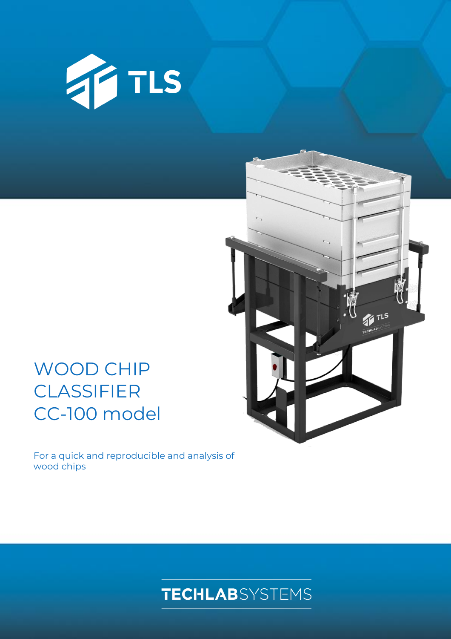

# WOOD CHIP **CLASSIFIER** CC-100 model

For a quick and reproducible and analysis of wood chips



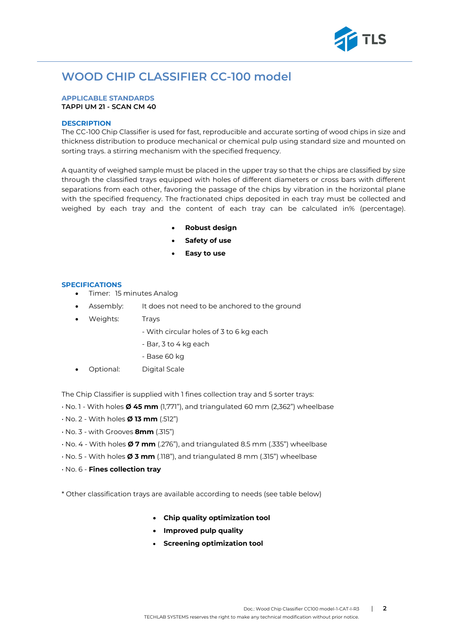

## **WOOD CHIP CLASSIFIER CC-100 model**

#### **APPLICABLE STANDARDS TAPPI UM 21 - SCAN CM 40**

#### **DESCRIPTION**

The CC-100 Chip Classifier is used for fast, reproducible and accurate sorting of wood chips in size and thickness distribution to produce mechanical or chemical pulp using standard size and mounted on sorting trays. a stirring mechanism with the specified frequency.

A quantity of weighed sample must be placed in the upper tray so that the chips are classified by size through the classified trays equipped with holes of different diameters or cross bars with different separations from each other, favoring the passage of the chips by vibration in the horizontal plane with the specified frequency. The fractionated chips deposited in each tray must be collected and weighed by each tray and the content of each tray can be calculated in% (percentage).

- **Robust design**
- **Safety of use**
- **Easy to use**

#### **SPECIFICATIONS**

- Timer: 15 minutes Analog
- Assembly: It does not need to be anchored to the ground
- Weights: Trays
	- With circular holes of 3 to 6 kg each
	- Bar, 3 to 4 kg each
	- Base 60 kg
- Optional: Digital Scale

The Chip Classifier is supplied with 1 fines collection tray and 5 sorter trays:

- No. 1 With holes **Ø 45 mm** (1,771"), and triangulated 60 mm (2,362") wheelbase
- No. 2 With holes **Ø 13 mm** (.512")
- No. 3 with Grooves **8mm** (.315")
- No. 4 With holes **Ø 7 mm** (.276"), and triangulated 8.5 mm (.335") wheelbase
- No. 5 With holes **Ø 3 mm** (.118"), and triangulated 8 mm (.315") wheelbase
- No. 6 **Fines collection tray**

\* Other classification trays are available according to needs (see table below)

- **Chip quality optimization tool**
- **Improved pulp quality**
- **Screening optimization tool**